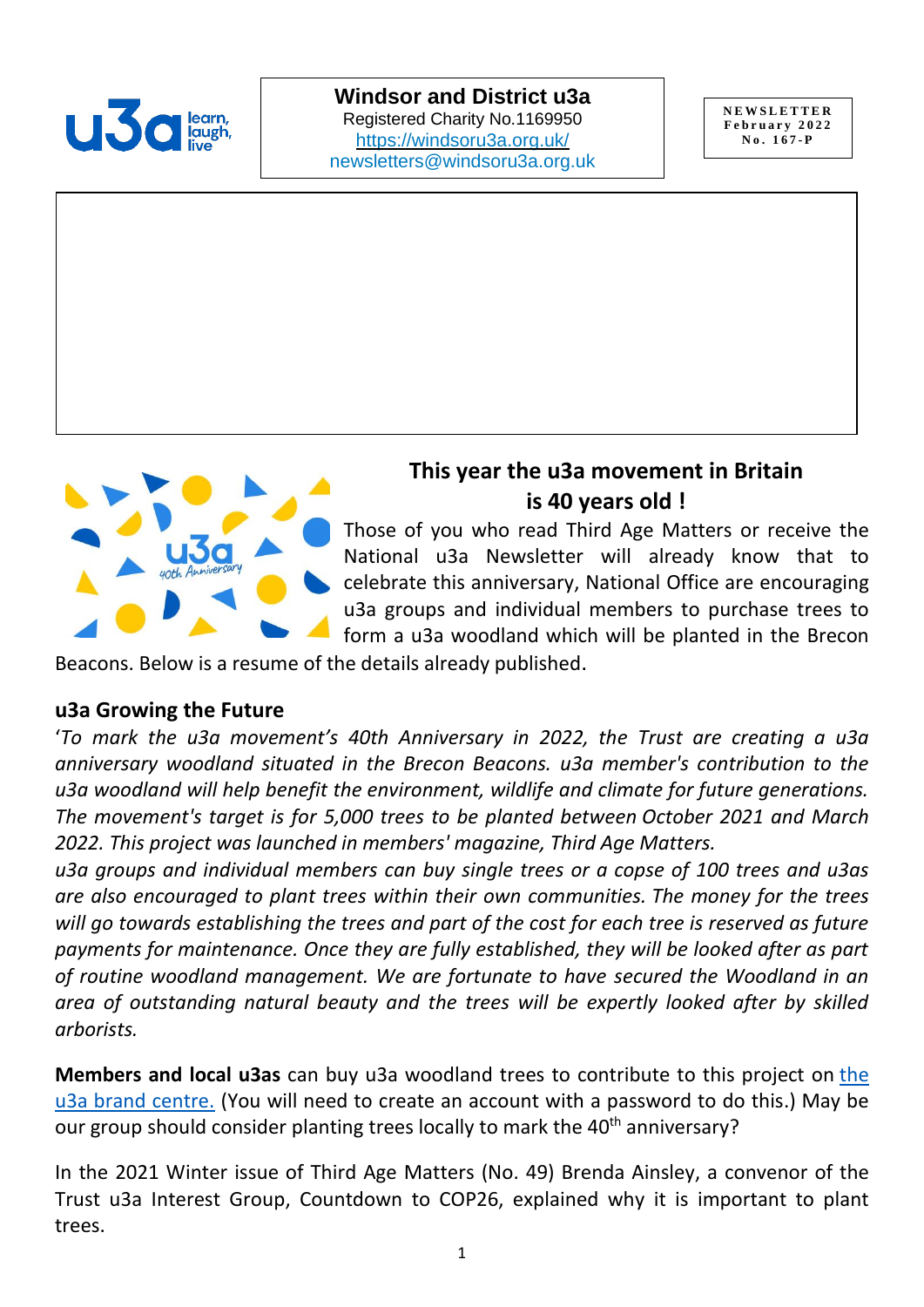

**Windsor and District u3a** Registered Charity No.1169950 <https://windsoru3a.org.uk/> [newsletters@windsoru3a.org.uk](mailto:newsletters@windsoru3a.org.uk)

**N E W S L E T T E R F e b r u a r y 2 0 2 2 N o . 1 6 7 - P**



# **This year the u3a movement in Britain is 40 years old !**

Those of you who read Third Age Matters or receive the National u3a Newsletter will already know that to celebrate this anniversary, National Office are encouraging u3a groups and individual members to purchase trees to form a u3a woodland which will be planted in the Brecon

Beacons. Below is a resume of the details already published.

#### **u3a Growing the Future**

'*To mark the u3a movement's 40th Anniversary in 2022, the Trust are creating a u3a anniversary woodland situated in the Brecon Beacons. u3a member's contribution to the u3a woodland will help benefit the environment, wildlife and climate for future generations. The movement's target is for 5,000 trees to be planted between October 2021 and March 2022. This project was launched in members' magazine, Third Age Matters.* 

*u3a groups and individual members can buy single trees or a copse of 100 trees and u3as are also encouraged to plant trees within their own communities. The money for the trees will go towards establishing the trees and part of the cost for each tree is reserved as future payments for maintenance. Once they are fully established, they will be looked after as part of routine woodland management. We are fortunate to have secured the Woodland in an area of outstanding natural beauty and the trees will be expertly looked after by skilled arborists.*

**Members and local u3as** can buy u3a woodland trees to contribute to this project on [the](https://u3abrand.org.uk/)  [u3a brand centre.](https://u3abrand.org.uk/) (You will need to create an account with a password to do this.) May be our group should consider planting trees locally to mark the 40<sup>th</sup> anniversary?

In the 2021 Winter issue of Third Age Matters (No. 49) Brenda Ainsley, a convenor of the Trust u3a Interest Group, Countdown to COP26, explained why it is important to plant trees.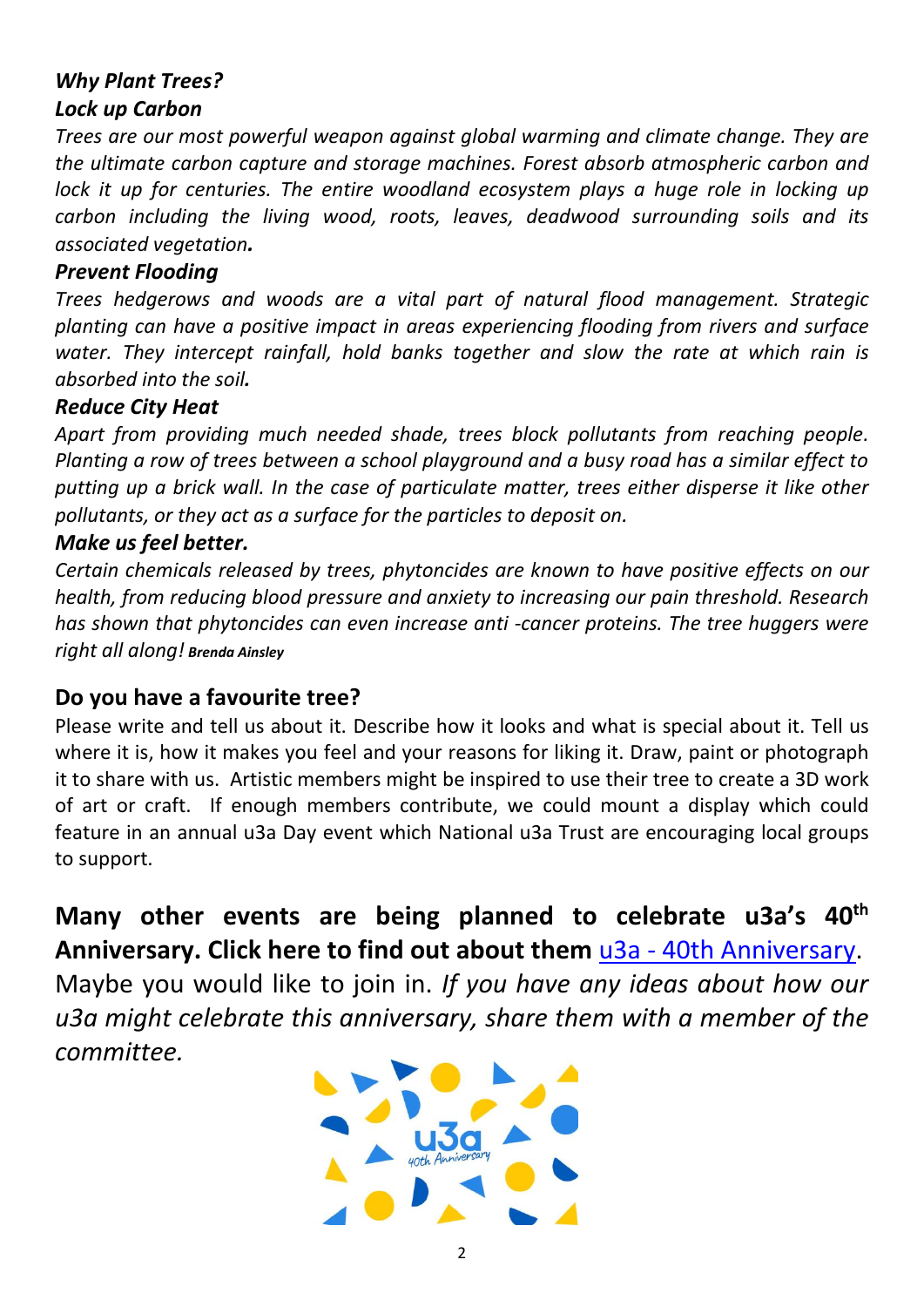# *Why Plant Trees? Lock up Carbon*

*Trees are our most powerful weapon against global warming and climate change. They are the ultimate carbon capture and storage machines. Forest absorb atmospheric carbon and lock it up for centuries. The entire woodland ecosystem plays a huge role in locking up carbon including the living wood, roots, leaves, deadwood surrounding soils and its associated vegetation.*

### *Prevent Flooding*

*Trees hedgerows and woods are a vital part of natural flood management. Strategic planting can have a positive impact in areas experiencing flooding from rivers and surface water. They intercept rainfall, hold banks together and slow the rate at which rain is absorbed into the soil.* 

### *Reduce City Heat*

*Apart from providing much needed shade, trees block pollutants from reaching people. Planting a row of trees between a school playground and a busy road has a similar effect to putting up a brick wall. In the case of particulate matter, trees either disperse it like other pollutants, or they act as a surface for the particles to deposit on.*

### *Make us feel better.*

*Certain chemicals released by trees, phytoncides are known to have positive effects on our health, from reducing blood pressure and anxiety to increasing our pain threshold. Research has shown that phytoncides can even increase anti -cancer proteins. The tree huggers were right all along! Brenda Ainsley*

## **Do you have a favourite tree?**

Please write and tell us about it. Describe how it looks and what is special about it. Tell us where it is, how it makes you feel and your reasons for liking it. Draw, paint or photograph it to share with us. Artistic members might be inspired to use their tree to create a 3D work of art or craft. If enough members contribute, we could mount a display which could feature in an annual u3a Day event which National u3a Trust are encouraging local groups to support.

**Many other events are being planned to celebrate u3a's 40th Anniversary. Click here to find out about them** u3a - [40th Anniversary.](https://www.u3a.org.uk/events/40th-anniversary) Maybe you would like to join in. *If you have any ideas about how our u3a might celebrate this anniversary, share them with a member of the committee.*

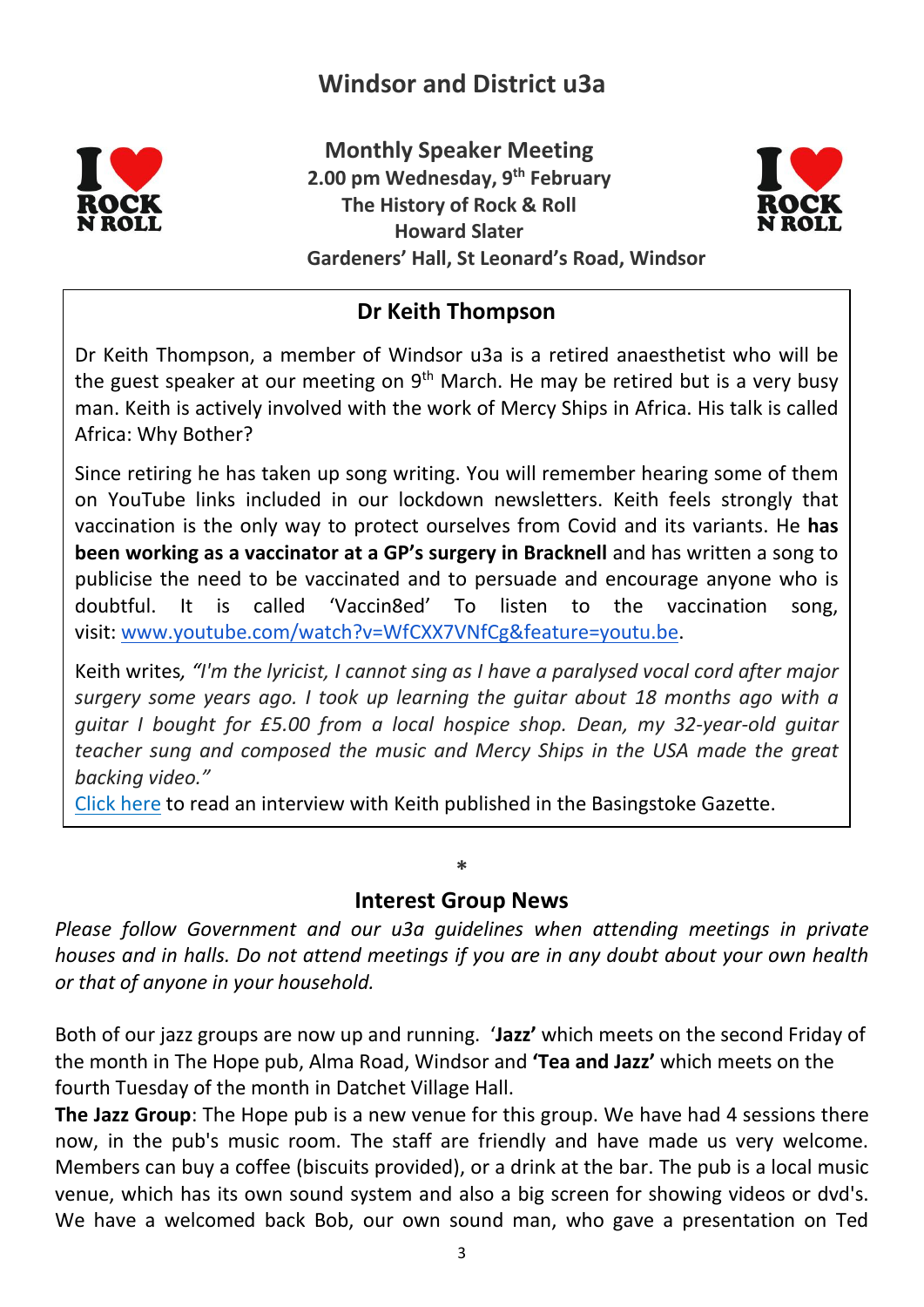# **Windsor and District u3a**



**Monthly Speaker Meeting 2.00 pm Wednesday, 9th February The History of Rock & Roll Howard Slater Gardeners' Hall, St Leonard's Road, Windsor** 



## **Dr Keith Thompson**

Dr Keith Thompson, a member of Windsor u3a is a retired anaesthetist who will be the guest speaker at our meeting on 9<sup>th</sup> March. He may be retired but is a very busy man. Keith is actively involved with the work of Mercy Ships in Africa. His talk is called Africa: Why Bother?

Since retiring he has taken up song writing. You will remember hearing some of them on YouTube links included in our lockdown newsletters. Keith feels strongly that vaccination is the only way to protect ourselves from Covid and its variants. He **has been working as a vaccinator at a GP's surgery in Bracknell** and has written a song to publicise the need to be vaccinated and to persuade and encourage anyone who is doubtful. It is called 'Vaccin8ed' To listen to the vaccination song, visit: [www.youtube.com/watch?v=WfCXX7VNfCg&feature=youtu.be.](http://www.youtube.com/watch?v=WfCXX7VNfCg&feature=youtu.be)

Keith writes*, "I'm the lyricist, I cannot sing as I have a paralysed vocal cord after major surgery some years ago. I took up learning the guitar about 18 months ago with a guitar I bought for £5.00 from a local hospice shop. Dean, my 32-year-old guitar teacher sung and composed the music and Mercy Ships in the USA made the great backing video."*

[Click here](https://windsoru3a.org.uk/newsletter-extra-february-2022) to read an interview with Keith published in the Basingstoke Gazette.

### **Interest Group News**

**\***

*Please follow Government and our u3a guidelines when attending meetings in private houses and in halls. Do not attend meetings if you are in any doubt about your own health or that of anyone in your household.*

Both of our jazz groups are now up and running. '**Jazz'** which meets on the second Friday of the month in The Hope pub, Alma Road, Windsor and **'Tea and Jazz'** which meets on the fourth Tuesday of the month in Datchet Village Hall.

**The Jazz Group**: The Hope pub is a new venue for this group. We have had 4 sessions there now, in the pub's music room. The staff are friendly and have made us very welcome. Members can buy a coffee (biscuits provided), or a drink at the bar. The pub is a local music venue, which has its own sound system and also a big screen for showing videos or dvd's. We have a welcomed back Bob, our own sound man, who gave a presentation on Ted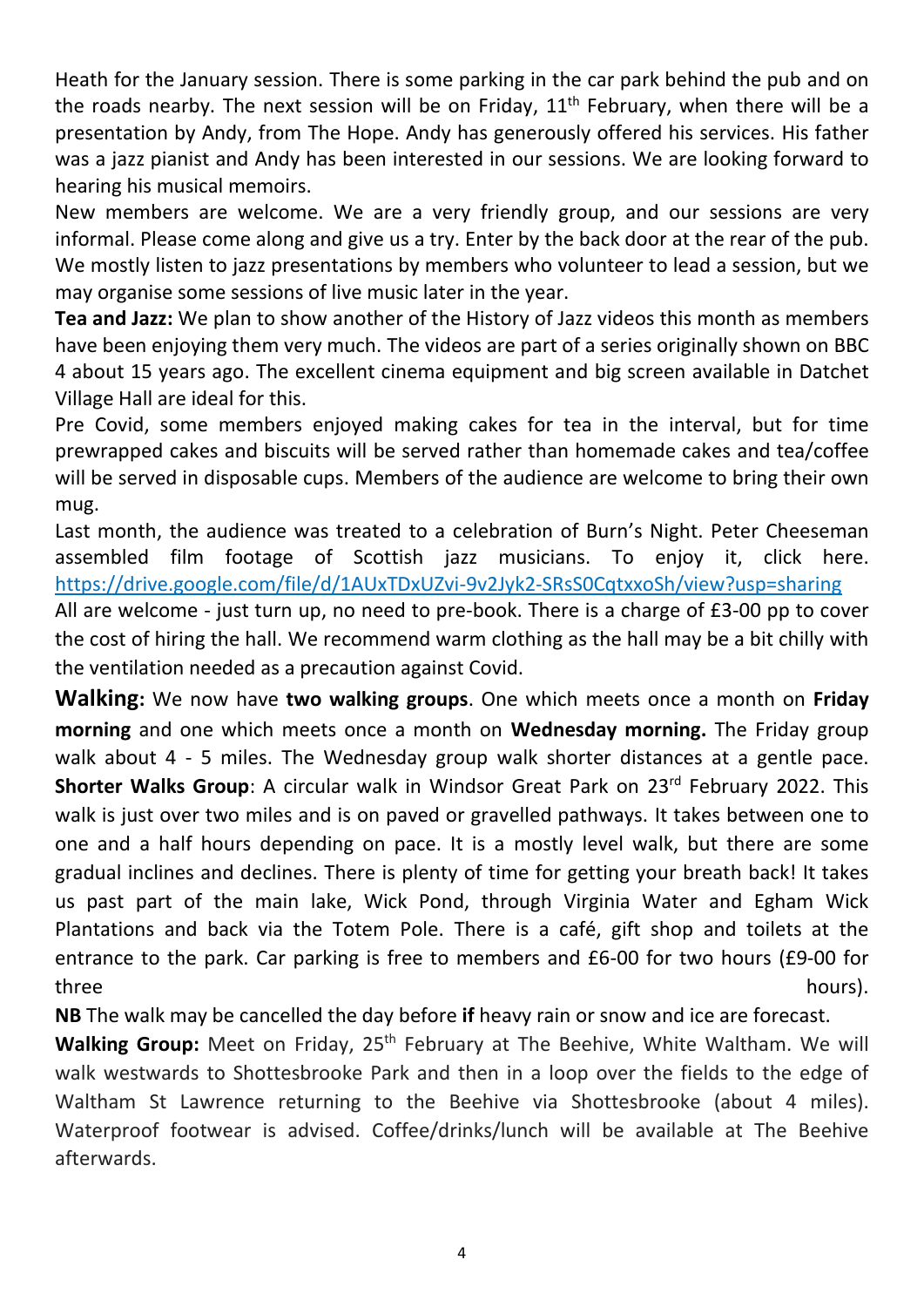Heath for the January session. There is some parking in the car park behind the pub and on the roads nearby. The next session will be on Friday,  $11<sup>th</sup>$  February, when there will be a presentation by Andy, from The Hope. Andy has generously offered his services. His father was a jazz pianist and Andy has been interested in our sessions. We are looking forward to hearing his musical memoirs.

New members are welcome. We are a very friendly group, and our sessions are very informal. Please come along and give us a try. Enter by the back door at the rear of the pub. We mostly listen to jazz presentations by members who volunteer to lead a session, but we may organise some sessions of live music later in the year.

**Tea and Jazz:** We plan to show another of the History of Jazz videos this month as members have been enjoying them very much. The videos are part of a series originally shown on BBC 4 about 15 years ago. The excellent cinema equipment and big screen available in Datchet Village Hall are ideal for this.

Pre Covid, some members enjoyed making cakes for tea in the interval, but for time prewrapped cakes and biscuits will be served rather than homemade cakes and tea/coffee will be served in disposable cups. Members of the audience are welcome to bring their own mug.

Last month, the audience was treated to a celebration of Burn's Night. Peter Cheeseman assembled film footage of Scottish jazz musicians. To enjoy it, click here. <https://drive.google.com/file/d/1AUxTDxUZvi-9v2Jyk2-SRsS0CqtxxoSh/view?usp=sharing>

All are welcome - just turn up, no need to pre-book. There is a charge of £3-00 pp to cover the cost of hiring the hall. We recommend warm clothing as the hall may be a bit chilly with the ventilation needed as a precaution against Covid.

**Walking:** We now have **two walking groups**. One which meets once a month on **Friday morning** and one which meets once a month on **Wednesday morning.** The Friday group walk about 4 - 5 miles. The Wednesday group walk shorter distances at a gentle pace. **Shorter Walks Group**: A circular walk in Windsor Great Park on 23<sup>rd</sup> February 2022. This walk is just over two miles and is on paved or gravelled pathways. It takes between one to one and a half hours depending on pace. It is a mostly level walk, but there are some gradual inclines and declines. There is plenty of time for getting your breath back! It takes us past part of the main lake, Wick Pond, through Virginia Water and Egham Wick Plantations and back via the Totem Pole. There is a café, gift shop and toilets at the entrance to the park. Car parking is free to members and £6-00 for two hours (£9-00 for three hours). The state of the state of the state of the state of the state of the state  $h$  hours).

**NB** The walk may be cancelled the day before **if** heavy rain or snow and ice are forecast.

**Walking Group:** Meet on Friday, 25<sup>th</sup> February at The Beehive, White Waltham. We will walk westwards to Shottesbrooke Park and then in a loop over the fields to the edge of Waltham St Lawrence returning to the Beehive via Shottesbrooke (about 4 miles). Waterproof footwear is advised. Coffee/drinks/lunch will be available at The Beehive afterwards.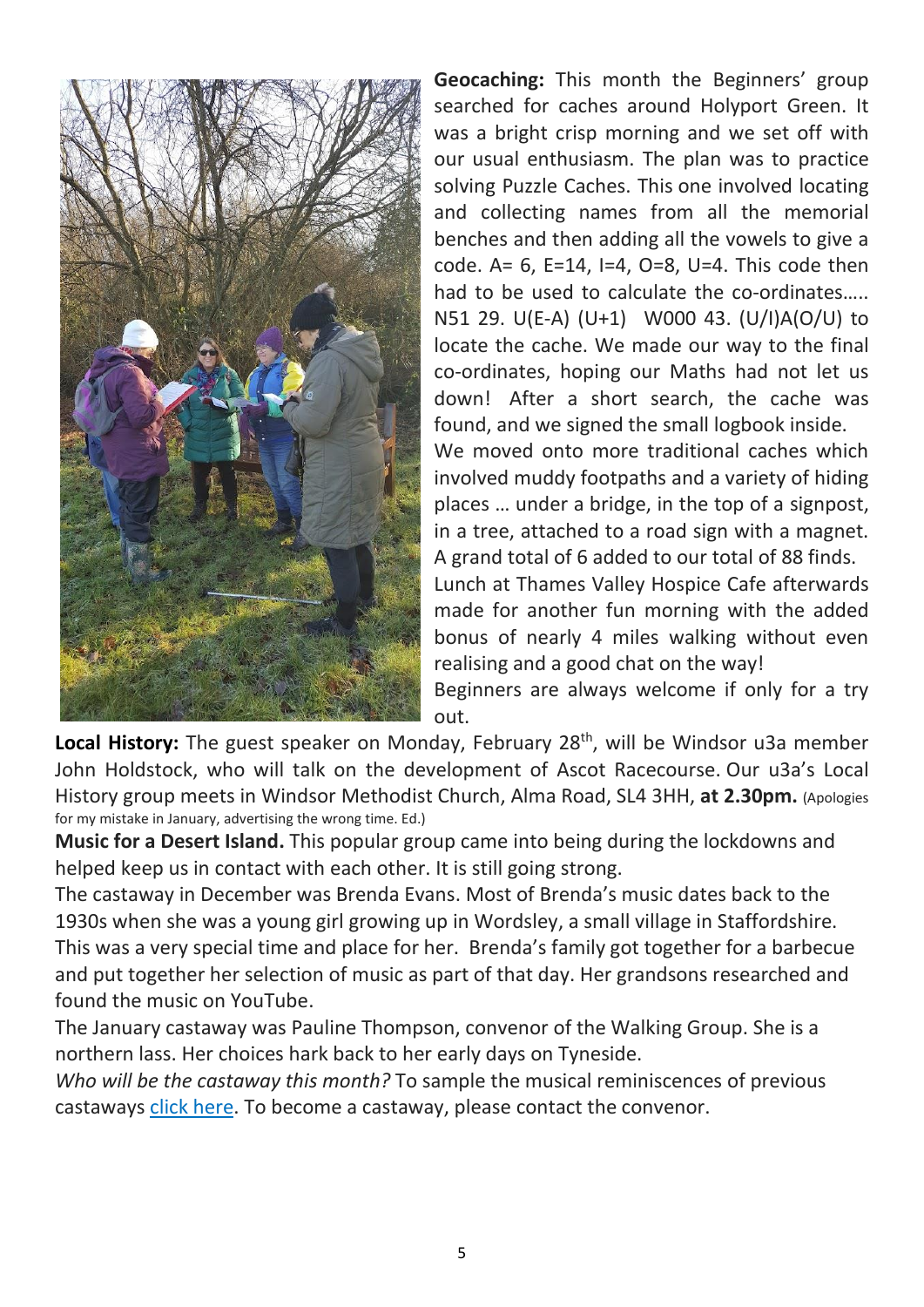

**Geocaching:** This month the Beginners' group searched for caches around Holyport Green. It was a bright crisp morning and we set off with our usual enthusiasm. The plan was to practice solving Puzzle Caches. This one involved locating and collecting names from all the memorial benches and then adding all the vowels to give a code. A=  $6$ , E=14, I=4, O=8, U=4. This code then had to be used to calculate the co-ordinates….. N51 29. U(E-A) (U+1) W000 43. (U/I)A(O/U) to locate the cache. We made our way to the final co-ordinates, hoping our Maths had not let us down! After a short search, the cache was found, and we signed the small logbook inside. We moved onto more traditional caches which involved muddy footpaths and a variety of hiding places … under a bridge, in the top of a signpost, in a tree, attached to a road sign with a magnet. A grand total of 6 added to our total of 88 finds.

Lunch at Thames Valley Hospice Cafe afterwards made for another fun morning with the added bonus of nearly 4 miles walking without even realising and a good chat on the way!

Beginners are always welcome if only for a try out.

Local History: The guest speaker on Monday, February 28<sup>th</sup>, will be Windsor u3a member John Holdstock, who will talk on the development of Ascot Racecourse. Our u3a's Local History group meets in Windsor Methodist Church, Alma Road, SL4 3HH, **at 2.30pm.** (Apologies for my mistake in January, advertising the wrong time. Ed.)

**Music for a Desert Island.** This popular group came into being during the lockdowns and helped keep us in contact with each other. It is still going strong.

The castaway in December was Brenda Evans. Most of Brenda's music dates back to the 1930s when she was a young girl growing up in Wordsley, a small village in Staffordshire. This was a very special time and place for her. Brenda's family got together for a barbecue and put together her selection of music as part of that day. Her grandsons researched and found the music on YouTube.

The January castaway was Pauline Thompson, convenor of the Walking Group. She is a northern lass. Her choices hark back to her early days on Tyneside.

*Who will be the castaway this month?* To sample the musical reminiscences of previous castaways [click here.](https://windsoru3a.org.uk/music-group-playlists-updated-2021/) To become a castaway, please contact the convenor.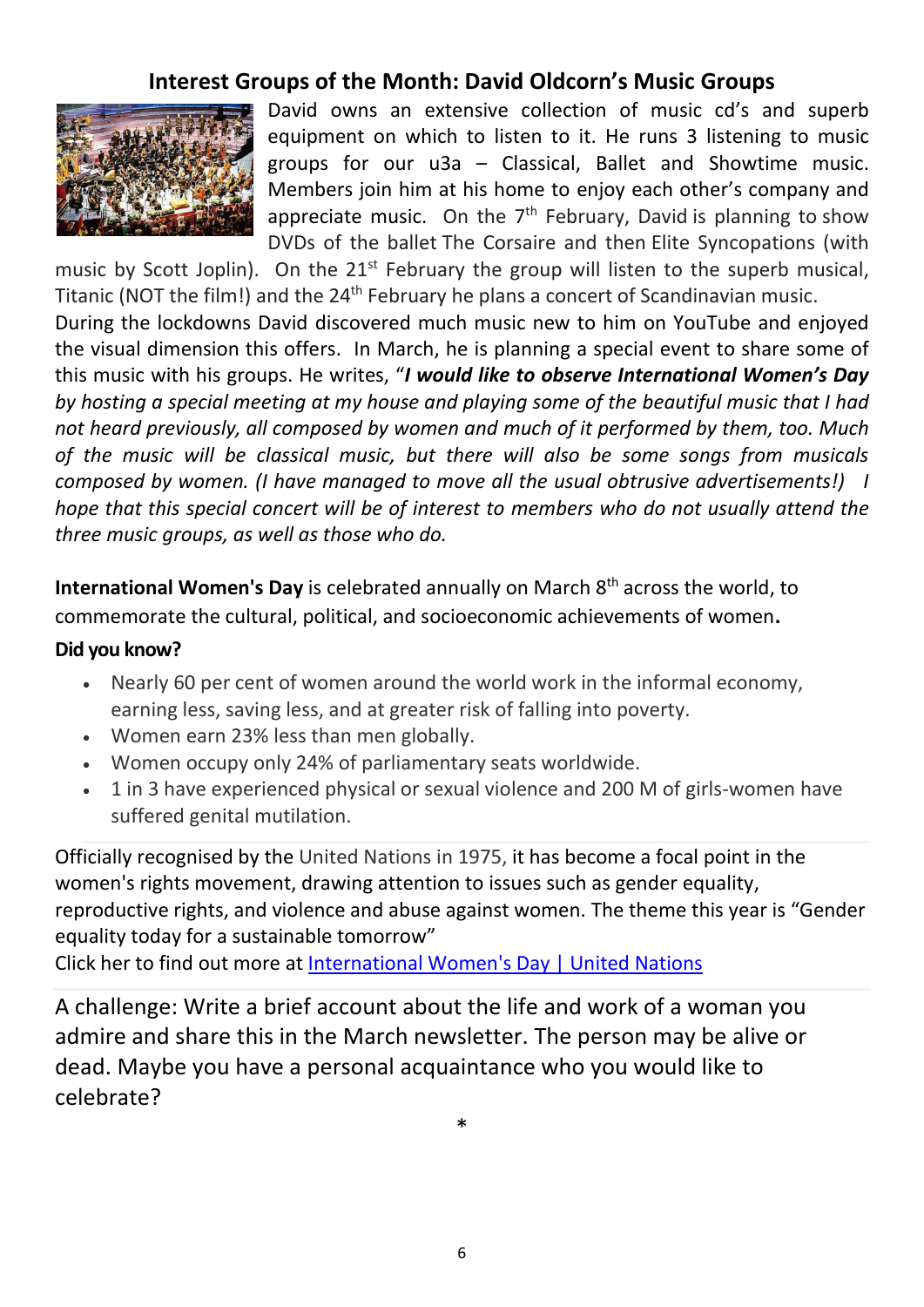## **Interest Groups of the Month: David Oldcorn's Music Groups**



David owns an extensive collection of music cd's and superb equipment on which to listen to it. He runs 3 listening to music groups for our u3a – Classical, Ballet and Showtime music. Members join him at his home to enjoy each other's company and appreciate music. On the  $7<sup>th</sup>$  February, David is planning to show DVDs of the ballet The Corsaire and then Elite Syncopations (with

music by Scott Joplin). On the  $21^{st}$  February the group will listen to the superb musical. Titanic (NOT the film!) and the 24<sup>th</sup> February he plans a concert of Scandinavian music.

During the lockdowns David discovered much music new to him on YouTube and enjoyed the visual dimension this offers. In March, he is planning a special event to share some of this music with his groups. He writes, "*I would like to observe International Women's Day by hosting a special meeting at my house and playing some of the beautiful music that I had not heard previously, all composed by women and much of it performed by them, too. Much of the music will be classical music, but there will also be some songs from musicals composed by women. (I have managed to move all the usual obtrusive advertisements!) I hope that this special concert will be of interest to members who do not usually attend the three music groups, as well as those who do.*

**International Women's Day** is celebrated annually on March 8<sup>th</sup> across the world, to commemorate the cultural, political, and socioeconomic achievements of women**.** 

#### **Did you know?**

- Nearly 60 per cent of women around the world work in the informal economy, earning less, saving less, and at greater risk of falling into poverty.
- Women earn 23% less than men globally.
- Women occupy only 24% of parliamentary seats worldwide.
- 1 in 3 have experienced physical or sexual violence and 200 M of girls-women have suffered genital mutilation.

Officially recognised by the United Nations in 1975, it has become a focal point in the women's rights movement, drawing attention to issues such as gender equality, reproductive rights, and violence and abuse against women. The theme this year is "Gender equality today for a sustainable tomorrow"

Click her to find out more at [International Women's Day | United Nations](https://www.un.org/en/observances/womens-day)

A challenge: Write a brief account about the life and work of a woman you admire and share this in the March newsletter. The person may be alive or dead. Maybe you have a personal acquaintance who you would like to celebrate?

\*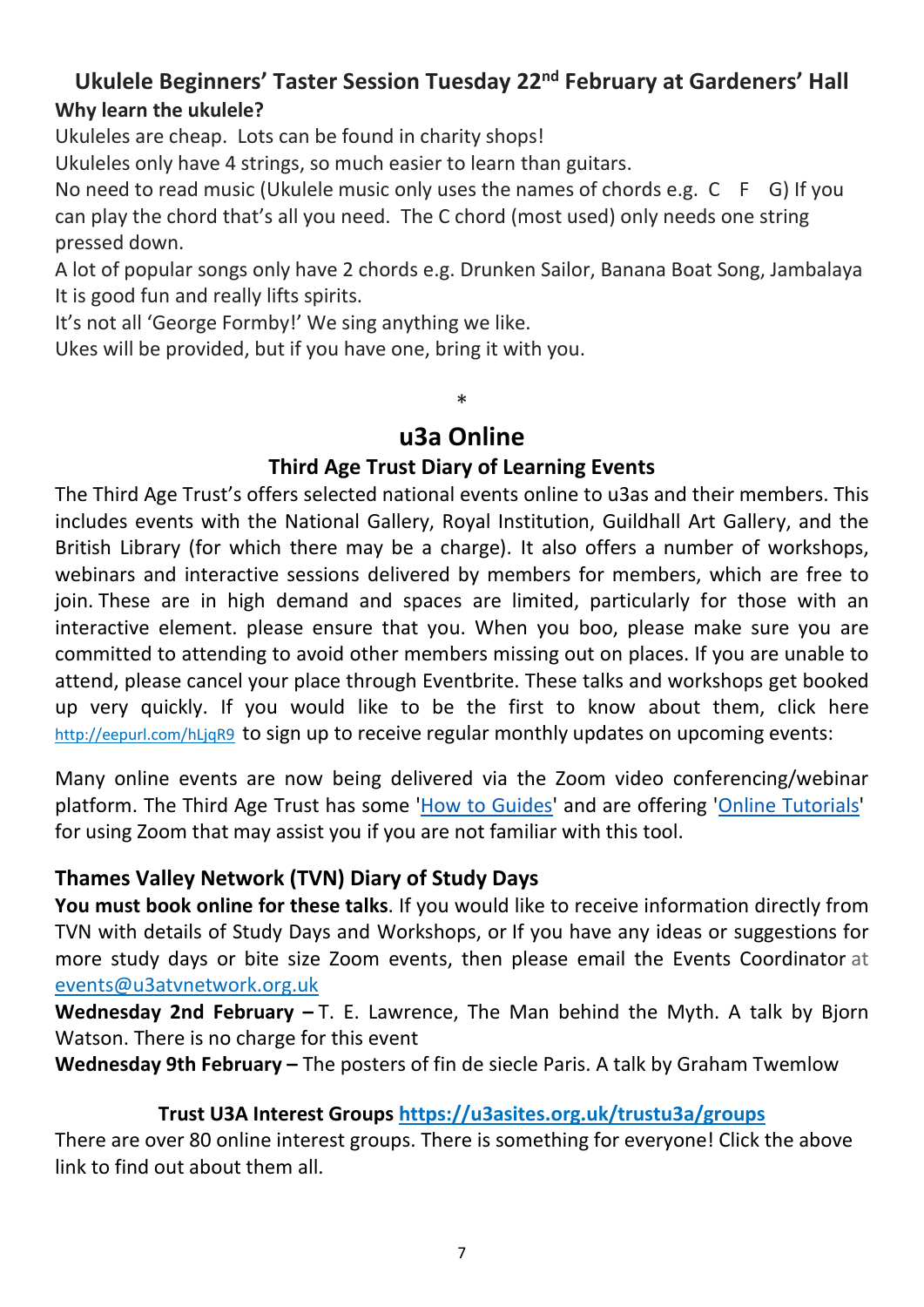# **Ukulele Beginners' Taster Session Tuesday 22nd February at Gardeners' Hall Why learn the ukulele?**

Ukuleles are cheap. Lots can be found in charity shops!

Ukuleles only have 4 strings, so much easier to learn than guitars.

No need to read music (Ukulele music only uses the names of chords e.g. C F G) If you can play the chord that's all you need. The C chord (most used) only needs one string pressed down.

A lot of popular songs only have 2 chords e.g. Drunken Sailor, Banana Boat Song, Jambalaya It is good fun and really lifts spirits.

It's not all 'George Formby!' We sing anything we like.

Ukes will be provided, but if you have one, bring it with you.

# **u3a Online**

\*

## **Third Age Trust Diary of Learning Events**

The Third Age Trust's offers selected national events online to u3as and their members. This includes events with the National Gallery, Royal Institution, Guildhall Art Gallery, and the British Library (for which there may be a charge). It also offers a number of workshops, webinars and interactive sessions delivered by members for members, which are free to join. These are in high demand and spaces are limited, particularly for those with an interactive element. please ensure that you. When you boo, please make sure you are committed to attending to avoid other members missing out on places. If you are unable to attend, please cancel your place through Eventbrite. These talks and workshops get booked up very quickly. If you would like to be the first to know about them, click here <http://eepurl.com/hLjqR9>to sign up to receive regular monthly updates on upcoming events:

Many online events are now being delivered via the Zoom video conferencing/webinar platform. The Third Age Trust has some ['How to Guides'](https://www.u3a.org.uk/keeping-in-touch-links/how-to-guidance) and are offering ['Online Tutorials'](https://www.u3a.org.uk/events/online-events) for using Zoom that may assist you if you are not familiar with this tool.

### **Thames Valley Network (TVN) Diary of Study Days**

**You must book online for these talks**. If you would like to receive information directly from TVN with details of Study Days and Workshops, or If you have any ideas or suggestions for more study days or bite size Zoom events, then please email the Events Coordinator at [events@u3atvnetwork.org.uk](mailto:events@u3atvnetwork.org.uk)

**Wednesday 2nd February –** T. E. Lawrence, The Man behind the Myth. A talk by Bjorn Watson. There is no charge for this event

**Wednesday 9th February –** The posters of fin de siecle Paris. A talk by Graham Twemlow

## **Trust U3A Interest Groups <https://u3asites.org.uk/trustu3a/groups>**

There are over 80 online interest groups. There is something for everyone! Click the above link to find out about them all.